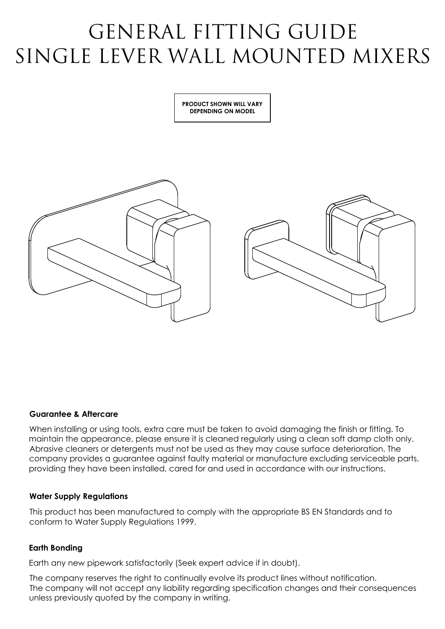# GENERAL FITTING GUIDE SINGLE LEVER WALL MOUNTED MIXERS

**PRODUCT SHOWN WILL VARY DEPENDING ON MODEL**



### **Guarantee & Aftercare**

When installing or using tools, extra care must be taken to avoid damaging the finish or fitting. To maintain the appearance, please ensure it is cleaned regularly using a clean soft damp cloth only. Abrasive cleaners or detergents must not be used as they may cause surface deterioration. The company provides a guarantee against faulty material or manufacture excluding serviceable parts, providing they have been installed, cared for and used in accordance with our instructions.

### **Water Supply Regulations**

This product has been manufactured to comply with the appropriate BS EN Standards and to conform to Water Supply Regulations 1999.

### **Earth Bonding**

Earth any new pipework satisfactorily (Seek expert advice if in doubt).

The company reserves the right to continually evolve its product lines without notification. The company will not accept any liability regarding specification changes and their consequences unless previously quoted by the company in writing.